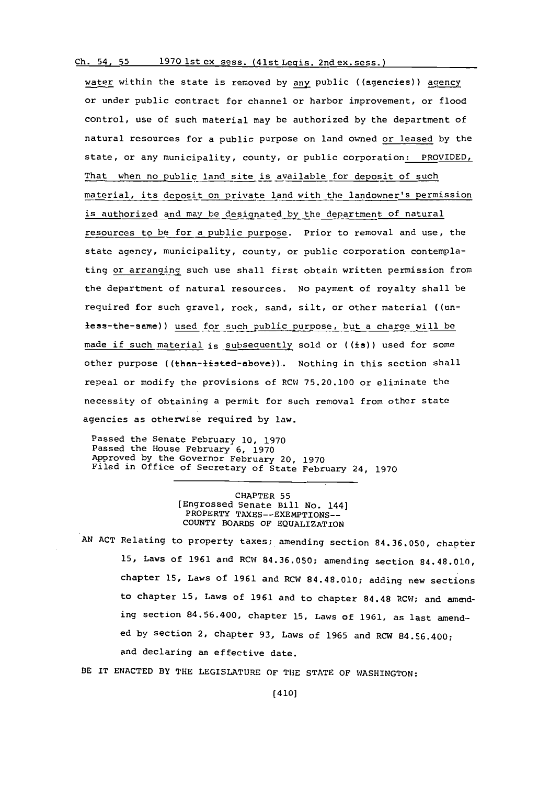## **Ch.** 54, **55 1970** Ist ex sess. (41st Legis. 2nd ex. sess.)

water within the state is removed **by** any public ((agencies)) agency or under public contract for channel or harbor improvement, or flood control, use of such material may be authorized **by** the department of natural resources for a public purpose on land owned or leased **by** the state, or any municipality, county, or public corporation: PROVIDED, That when no public land site is available for deposit of such material, its deposit on private land with the landowner's permission is authorized and may be designated by the department of natural resources to be for a public purpose. Prior to removal and use, the state agency, municipality, county, or public corporation contemplating or arranging such use shall first obtain written permission from the department of natural resources. No payment of royalty shall be required for such gravel, rock, sand, silt, or other material ((unless-the-same)) used for such public purpose, but a charge will be made if such material is subsequently sold or  $((is))$  used for some other purpose ((than-listed-above)). Nothing in this section shall repeal or modify the provisions of RCW **75.20.100** or eliminate the necessity of obtaining a permit for such removal from other state agencies as otherwise required **by** law.

Passed the Senate February **10, 1970** Passed the House February **6, 1970** Approved **by** the Governor February 20, **1970** Filed in Office of Secretary **of** State February 24, **<sup>1970</sup>**

> CHAPTER **55** (Engrossed Senate Bill No. 144] PROPERTY TAXES--EXEMPTIONS--**COUNTY** BOARDS OF EQUALIZATION

**AN ACT** Relating to property taxes; amending section **84.36.050,** chapter **15,** Laws of **1961** and RCW **84.36.050;** amending section 84.48.010, chapter **15,** Laws of **1961** and RCW 84.48.010; adding new sections to chapter 15, Laws of 1961 and to chapter 84.48 RCW; and amending section 84.56.400, chapter **15,** Laws of **1961,** as last amended **by** section 2, chapter **93,** Laws of **1965** and RCW 84.56.400; and declaring an effective date.

BE IT **ENACTED** BY THE LEGISLATURE OF **THE STATE** OF WASHINGTON: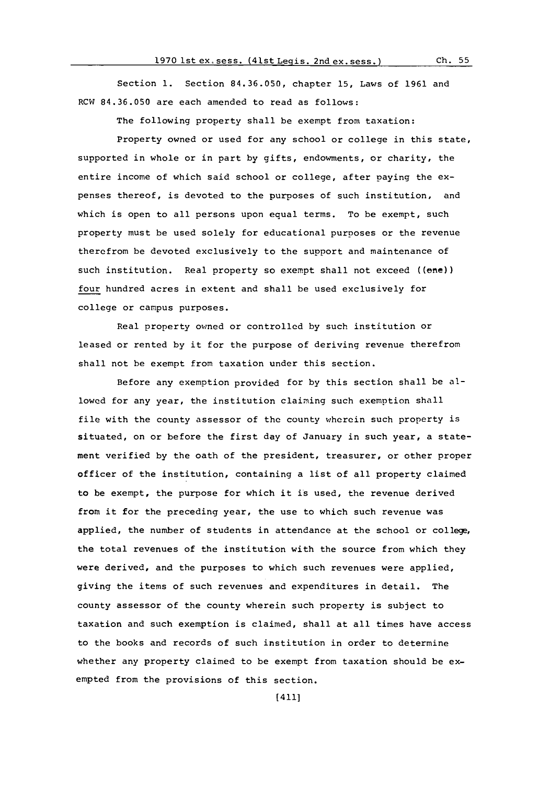Section **1.** Section **84.36.050,** chapter **15,** Laws of **1961** and RCW **84.36.050** are each amended to read as follows:

The following property shall be exempt from taxation:

Property owned or used for any school or college in this state, supported in whole or in part **by** gifts, endowments, or charity, the entire income of which said school or college, after paying the **expenses** thereof, is devoted to the purposes of such institution, and which is open to all persons upon equal terms. To be exempt, such property must be used solely for educational purposes or the revenue therefrom be devoted exclusively to the support and maintenance of such institution. Real property so exempt shall not exceed ((ene)) four hundred acres in extent and shall be used exclusively for college or campus purposes.

Real property owned or controlled **by** such institution or leased or rented **by** it for the purpose of deriving revenue therefrom shall not be exempt from taxation under this section.

Before any exemption provided for **by** this section shall be allowed for any year, the institution claiming such exemption shall file with the county assessor of the county wherein such property is situated, on or before the first day of January in such year, a statement verified **by** the oath of the president, treasurer, or other proper officer of the institution, containing a list of all property claimed to be exempt, the purpose for which it is used, the revenue derived from it for the preceding year, the use to which such revenue was applied, the number of students in attendance at the school or college, the total revenues of the institution with the source from which they were derived, and the purposes to which such revenues were applied, giving the items of such revenues and expenditures in detail. The county assessor of the county wherein such property is subject to taxation and such exemption is claimed, shall at all times have access to the books and records of such institution in order to determine whether any property claimed to be exempt from taxation should be exempted from the provisions of this section.

[411]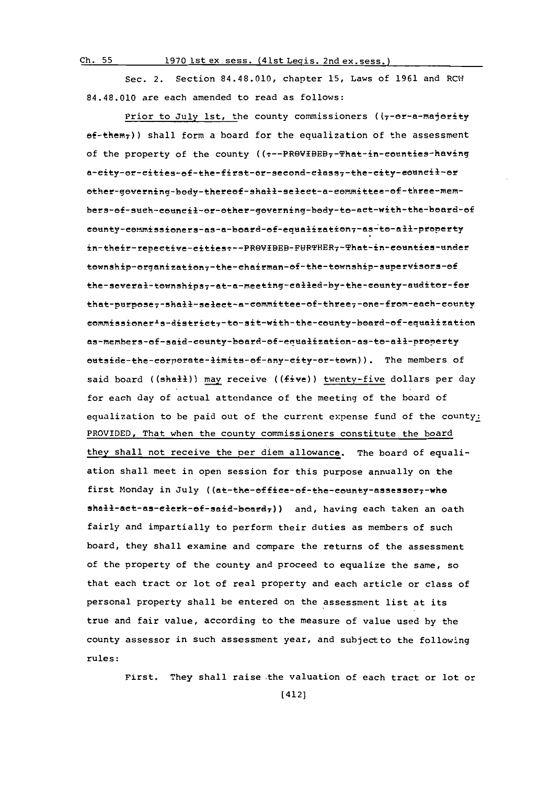**Ch. 55 1970** ist ex .sess. (41st Legis. 2nd ex. sess.)

Sec. 2. Section 84.48.010, chapter **15,** Laws of **1961** and RCII 84.48.010 are each amended to read as follows:

Prior to July 1st, the county commissioners ( $(-e^{-\alpha}-\frac{1}{2}e^{-\alpha})$  $ef$ -them<sub>7</sub>)) shall form a board for the equalization of the assessment of the property of the county (( -- PROVIBEB, - That-in-counties-having a-city-or-cities-of-the-first-or-second-class--the-city-council-or other-governing-body-thereof-shall-select-a-committee-of-three-members-of-such-council-or-other-governing-body-to-act-with-the-board-of county-commissioners-as-a-board-of-equalization7-as-to-all-property in-their-repective-cities:--PROVIBEB-FURTHER7-That-in-counties-under township-organization--the-chairman-of-the-township-supervisors-of the-several-townships7-at-a-meeting-called-by-the-county-auditor-for that-purpose-shall-select-a-committee-of-three--one-from-each-county commissioner<sup>1</sup>s-district<sub>7</sub>-to-sit-with-the-county-board-of-equalization<br>as-members-of-said-county-board-of-equalization-as-to-all-property outside-the-corporate-limits-of-any-city-or-town)). The members of said board ((shall)) may receive ((five)) twenty-five dollars per day for each day of actual attendance of the meeting of the board of equalization to be paid out of the current expense fund of the county:<br>PROVIDED, That when the county commissioners constitute the board they shall not receive the per diem allowance. The board of equaliation shall meet in open session for this purpose annually on the first Monday in July ((at-the-office-of-the-county-assessor,-whe shall-act-as-clerk-of-said-board7)) and, having each taken an oath fairly and impartially to perform their duties as members of such board, they shall examine and compare the returns of the assessment of the property of the county and proceed to equalize the same, so that each tract or lot of real property and each article or class of personal property shall be entered on the assessment list at its true and fair value, according to the measure of value used **by** the county assessor in such assessment year, and subjectto the following rules:

First. They shall raise the valuation of each tract or lot or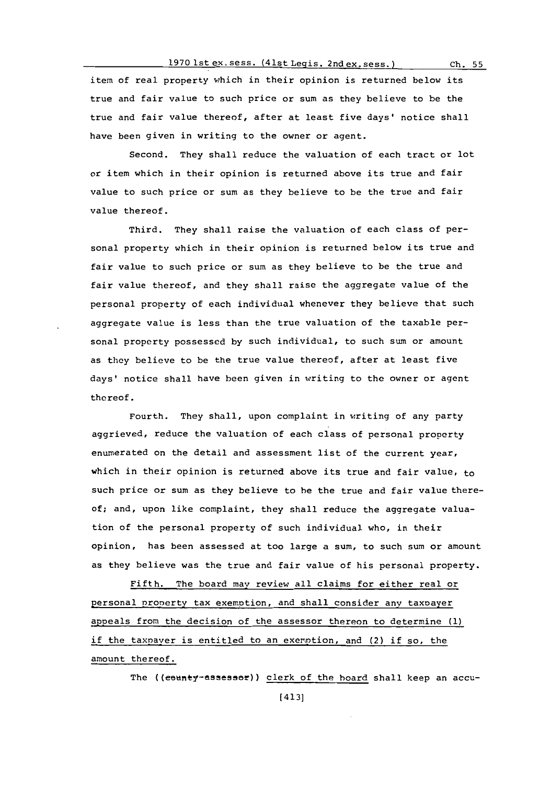# **1970** lst ex.sess. (4 1st Legis. 2nd ex. sess. **Ch. 55**

item of real property which in their opinion is returned below its true and fair value to such price or sum as they believe to be the true and fair value thereof, after at least five days' notice shall have been given in writing to the owner or agent.

Second. They shall reduce the valuation of each tract or lot or item which in their opinion is returned above its true and fair value to such price or sum as they believe to be the true and fair value thereof.

Third. They shall raise the valuation of each class of personal property which in their opinion is returned below its true and fair value to such price or sum as they believe to be the true and fair value thereof, and they shall raise the aggregate value of the personal property of each individual whenever they believe that such aggregate value is less than the true valuation of the taxable personal property possessed **by** such individual, to such sum or amount as they believe to be the true value thereof, after at least five days' notice shall have been given in writing to the owner or agent thereof.

Fourth. They shall, upon complaint in writing of any party aggrieved, reduce the valuation of each class of personal property enumerated on the detail and assessment list of the current year, which in their opinion is returned above its true and fair value, to such price or sum as they believe to be the true and fair value thereof; and, upon like complaint, they shall reduce the aggregate valuation of the personal property of such individual who, in their opinion, has been assessed at too large a sum, to such sum or amount as they believe was the true and fair value of his personal property.

Fifth. The board may review all claims for either real or personal property tax exemption, and shall consider any taxoayer appeals from the decision of the assessor thereon to determine **(1)** if the taxpayer is entitled to an exemption, and (2) if so, the amount thereof.

The ((eeunty-assesser)) clerk of the hoard shall keep an accu-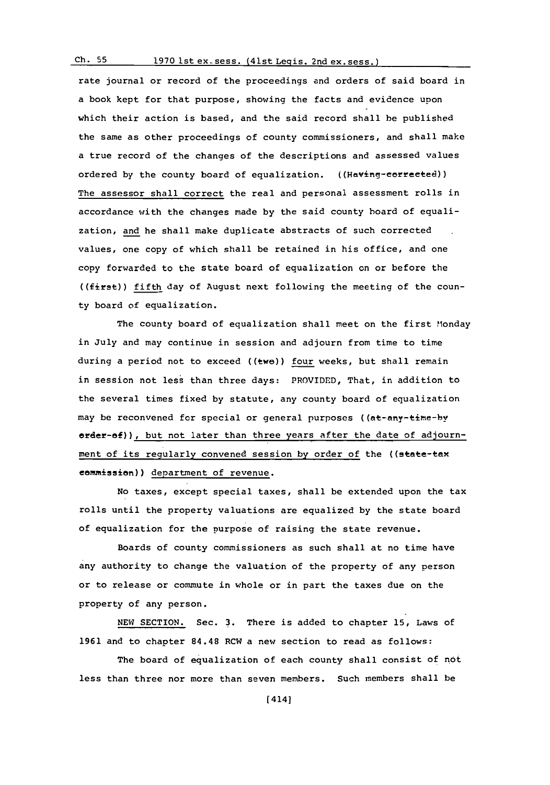# **Ch. 55 1970** lst ex..sess. (41st Leqis. 2nd ex. sess.)

rate journal or record of the proceedings and orders of said board in a book kept for that purpose, showing the facts and evidence upon which their action is based, and the said record shall be published the same as other proceedings of county commissioners, and shall make a true record of the changes of the descriptions and assessed values ordered **by** the county board of equalization. ((Having-eefreeted)) The assessor shall correct the real and personal assessment rolls in accordance with the changes made **by** the said county board of equalization, and he shall make duplicate abstracts of such corrected values, one copy of which shall be retained in his office, and one copy forwarded to the state board of equalization on or before the ((first)) fifth day of August next following the meeting of the county board of equalization.

The county board of equalization shall meet on the first Monday in July and may continue in session and adjourn from time to time during a period not to exceed ((two)) four weeks, but shall remain in session not less than three days: PROVIDED, That, in addition to the several times fixed **by** statute, any county board of equalization may be reconvened for special or general purposes ((at-any-time-by erder-ef)), but not later than three years after the date of adjournment of its regularly convened session by order of the ((state-tax commission~)) department of revenue.

No taxes, except special taxes, shall be extended upon the tax rolls until the property valuations are equalized **by** the state board of equalization for the purpose of raising the state revenue.

Boards of county commissioners as such shall at no time have any authority to change the valuation of the property of any person or to release or commute in whole or in part the taxes due on the property of any person.

**NEW SECTION.** Sec. **3.** There is added to chapter **15,** Laws of **1961** and to chapter 84.48 RCW a new section to read as follows:

The board of equalization of each county shall consist of not less than three nor more than seven members. Such members shall be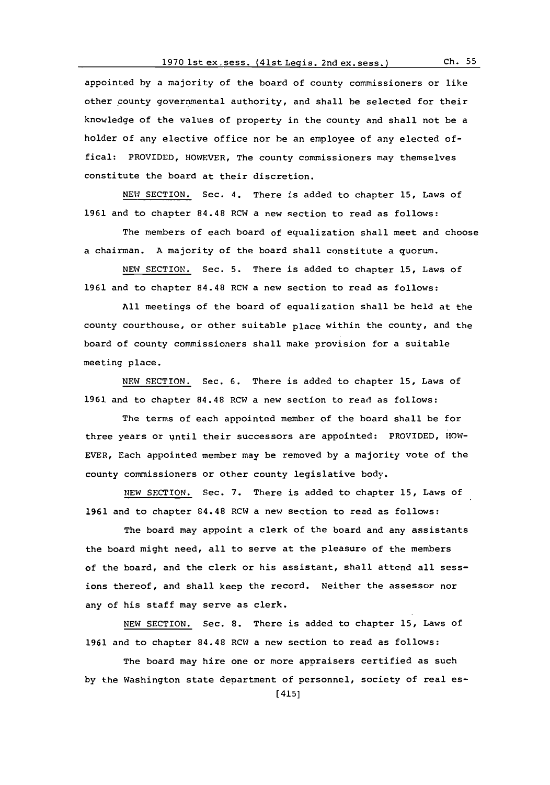appointed **by** a majority of the board of county commissioners or like other county governmental authority, and shall be selected for their knowledge of the values of property in the county and shall not be a holder of any elective office nor be an employee of any elected offical: PROVIDED, HOWEVER, The county commissioners may themselves constitute the board at their discretion.

**NEW** SECTION. Sec. 4. There is added to chapter **15,** Laws of 1961 and to chapter 84.48 RCW a new section to read as follows:

The members of each hoard **of** equalization shall meet and choose a chairman. **A** majority of the board shall constitute a quorum.

**NEW** SECTION. Sec. **5.** There is added to chapter **15,** Laws of 1961 and to chapter 84.48 RCW a new section to read as follows:

**All** meetings of the board of equalization shall be held at the county courthouse, or other suitable place within the county, and the board of county commissioners shall make provision for a suitable meeting place.

NEW SECTION. Sec. 6. There is added to chapter 15, Laws of **1961** and to chapter 84.48 RCW a new section to read as follows:

The terms of each appointed member of the hoard shall be for three years or until their successors are appointed: PROVIDED, **HO0W-**EVER, Each appointed member may be removed **by** a majority vote of the county commissioners or other county legislative body.

**NEW** SECTION. Sec. **7.** There is added to chapter **15,** Laws of **1961** and to chapter 84.48 RCW a new section to read as follows:

The board may appoint a clerk of the board and any assistants the board might need, all to serve at the pleasure of the members of the board, and the clerk or his assistant, shall attend all sessions thereof, and shall keep the record. Neither the assessor nor any of his staff may serve as clerk.

**NEW** SECTION. Sec. **8.** There is added to chapter **15,** Laws of **1961** and to chapter 84.48 RCW a new section to read as follows:

The board may hire one or more appraisers certified as such **by** the Washington state department of personnel, society of real es-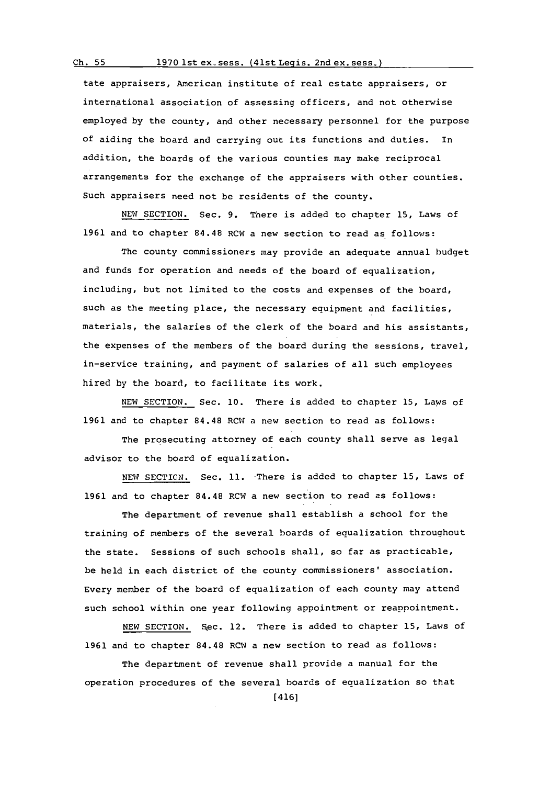### **Ch. 55 1970** lst ex. sess. (41st Legis. 2nd ex. sess.)

tate appraisers, American institute of real estate appraisers, or international association of assessing officers, and not otherwise employed **by** the county, and other necessary personnel for the purpose of aiding the board and carrying out its functions and duties. In addition, the boards of the various counties may make reciprocal arrangements for the exchange of the appraisers with other counties. Such appraisers need not be residents of the county.

**NEW** SECTION. Sec. **9.** There is added to chapter **15,** Laws of 1961 and to chapter 84.48 RCW a new section to read as follows:

The county commissioners may provide an adequate annual budget and funds for operation and needs of the board of equalization, including, but not limited to the costs and expenses of the board, such as the meeting place, the necessary equipment and facilities, materials, the salaries of the clerk of the board and his assistants, the expenses of the members of the board during the sessions, travel, in-service training, and payment of salaries of all such employees hired **by** the board, to facilitate its work.

**NEW** SECTION. Sec. **10.** There is added to chapter **15,** Laws of **1961** and to chapter 84.48 ROW a new section to read as follows:

The prosecuting attorney of each county shall serve as legal advisor to the board of equalization.

**NEW** SECTION. Sec. **11.** -There is added to chapter **15,** Laws of **1961** and to chapter 84.48 ROW a new section to read as follows:

The department of revenue shall establish a school for the training of members of the several boards of equalization throughout the state. Sessions of such schools shall, so far as practicable, be held in each district of the county commissioners' association. Every member of the board of equalization of each county may attend such school within one year following appointment or reappointment.

NEW SECTION. Sec. 12. There is added to chapter 15, Laws of **1961** and to chapter 84.48 ROW a new section to read as follows:

The department of revenue shall provide a manual for the operation procedures of the several boards of equalization so that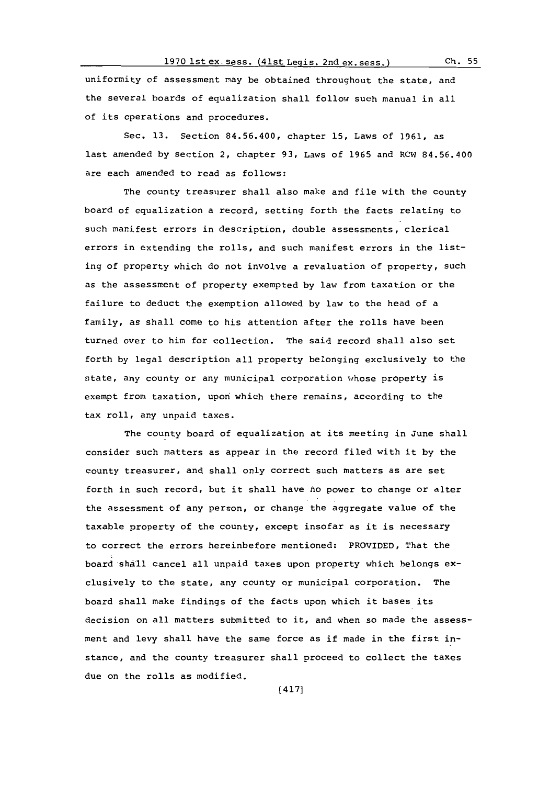#### **1970** ist **ex.** sess. (4lSt Leqis. 2nd ex. sess.) **Ch. 55**

uniformity of assessment may be obtained throughout the state, and the several hoards of equalization shall follow such manual in all of its operations and procedures.

Sec. **13.** Section 84.56.400, chapter **15,** Laws of **1961,** as last amended **by** section 2, chapter **93,** Laws of **1965** and ROW1 84.56.400 are each amended to read as follows:

The county treasurer shall also make and file with the county board of equalization a record, setting forth the facts relating to such manifest errors in description, double assessments, clerical errors in extending the rolls, and such manifest errors in the listing of property which do not involve a revaluation of property, such as the assessment of property exempted **by** law from taxation or the failure to deduct the exemption allowed **by** law to the head of a family, as shall come to his attention after the rolls have been turned over to him for collection. The said record shall also set forth **by** legal description all property belonging exclusively to the state, any county or any municipal corporation whose property is exempt from taxation, upon which there remains, according to the tax roll, any unpaid taxes.

The county board of equalization at its meeting in June shall consider such matters as appear in the record filed with it **by** the county treasurer, and shall only correct such matters as are set forth in such record, but it shall have no power to change or alter the assessment of any person, or change the aggregate value of the taxable property of the county, except insofar as it is necessary to correct the errors hereinbefore mentioned: PROVIDED, That the board shall cancel all unpaid taxes upon property which belongs exclusively to the state, any county or municipal corporation. The board shall make findings of the facts upon which it bases its decision on all matters submitted to it, and when so made the assessment and levy shall have the same force as if made in the first instance, and the county treasurer shall proceed to collect the taxes due on the rolls as modified.

(417]